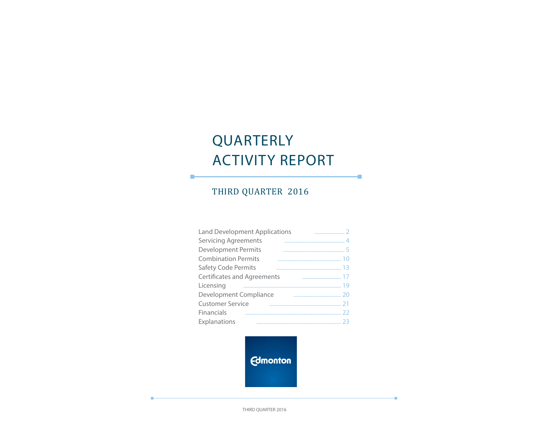# QUARTERLY ACTIVITY REPORT

÷

÷

## THIRD QUARTER 2016

П

| <b>Land Development Applications</b> |  |
|--------------------------------------|--|
| <b>Servicing Agreements</b>          |  |
| <b>Development Permits</b>           |  |
| <b>Combination Permits</b>           |  |
| Safety Code Permits                  |  |
| <b>Certificates and Agreements</b>   |  |
| Licensing                            |  |
| Development Compliance               |  |
| <b>Customer Service</b>              |  |
| Financials                           |  |
| Explanations                         |  |

**Edmonton** 

THIRD QUARTER 2016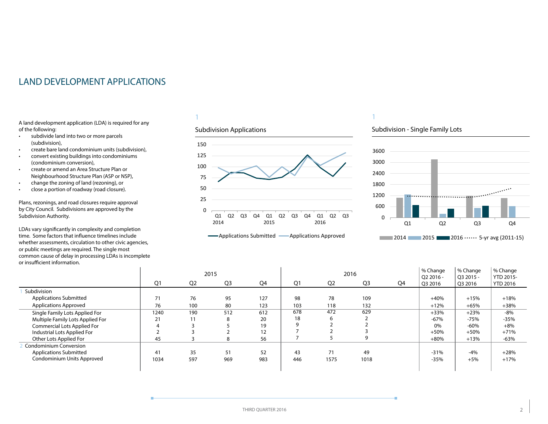## <span id="page-1-0"></span>LAND DEVELOPMENT APPLICATIONS

A land development application (LDA) is required for any of the following:

- subdivide land into two or more parcels (subdivision),
- create bare land condominium units (subdivision),
- convert existing buildings into condominiums (condominium conversion),
- create or amend an Area Structure Plan or Neighbourhood Structure Plan (ASP or NSP),
- change the zoning of land (rezoning), or
- close a portion of roadway (road closure).

Plans, rezonings, and road closures require approval by City Council. Subdivisions are approved by the Subdivision Authority.

LDAs vary significantly in complexity and completion time. Some factors that influence timelines include whether assessments, circulation to other civic agencies, or public meetings are required. The single most common cause of delay in processing LDAs is incomplete or insufficient information.

#### 1

#### Subdivision Applications



## 1

#### Subdivision - Single Family Lots



|                                    |                |                | 2015           |     |     |                | 2016           |    | % Change<br>O <sub>2</sub> 2016 - | % Change<br>O3 2015 - | % Change<br><b>YTD 2015-</b> |
|------------------------------------|----------------|----------------|----------------|-----|-----|----------------|----------------|----|-----------------------------------|-----------------------|------------------------------|
|                                    | Q <sub>1</sub> | Q <sub>2</sub> | Q <sub>3</sub> | Q4  | Q1  | Q <sub>2</sub> | Q <sub>3</sub> | Q4 | Q3 2016                           | Q3 2016               | <b>YTD 2016</b>              |
| Subdivision                        |                |                |                |     |     |                |                |    |                                   |                       |                              |
| <b>Applications Submitted</b>      | 71             | 76             | 95             | 127 | 98  | 78             | 109            |    | $+40%$                            | $+15%$                | $+18%$                       |
| <b>Applications Approved</b>       | 76             | 100            | 80             | 123 | 103 | 118            | 132            |    | $+12%$                            | $+65%$                | $+38%$                       |
| Single Family Lots Applied For     | 1240           | 190            | 512            | 612 | 678 | 472            | 629            |    | $+33%$                            | $+23%$                | -8%                          |
| Multiple Family Lots Applied For   | 21             |                | 8              | 20  | 18  | ь              |                |    | $-67%$                            | -75%                  | $-35%$                       |
| <b>Commercial Lots Applied For</b> |                |                |                | 19  |     |                |                |    | 0%                                | $-60%$                | $+8%$                        |
| Industrial Lots Applied For        |                |                |                | 12  |     |                |                |    | $+50%$                            | $+50%$                | $+71%$                       |
| Other Lots Applied For             | 45             |                | 8              | 56  |     |                |                |    | $+80%$                            | $+13%$                | $-63%$                       |
| <b>Condominium Conversion</b>      |                |                |                |     |     |                |                |    |                                   |                       |                              |
| <b>Applications Submitted</b>      | 41             | 35             | 51             | 52  | 43  | 71             | 49             |    | $-31%$                            | $-4%$                 | $+28%$                       |
| Condominium Units Approved         | 1034           | 597            | 969            | 983 | 446 | 1575           | 1018           |    | $-35%$                            | $+5%$                 | $+17%$                       |
|                                    |                |                |                |     |     |                |                |    |                                   |                       |                              |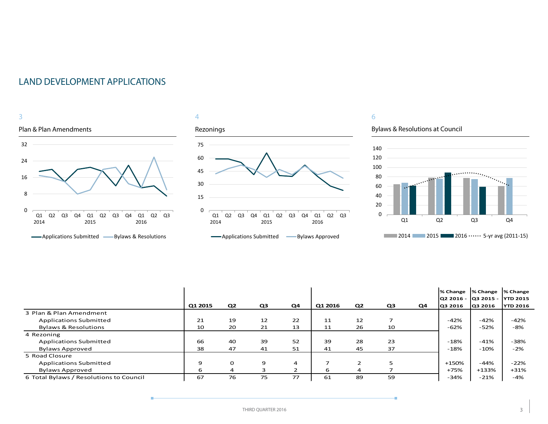## LAND DEVELOPMENT APPLICATIONS



|                                         |         |                |                |    |         |                |    |    | % Change | % Change                     | % Change        |
|-----------------------------------------|---------|----------------|----------------|----|---------|----------------|----|----|----------|------------------------------|-----------------|
|                                         |         |                |                |    |         |                |    |    |          | Q2 2016 - Q3 2015 - YTD 2015 |                 |
|                                         | Q1 2015 | Q <sub>2</sub> | Q <sub>3</sub> | Q4 | Q1 2016 | Q <sub>2</sub> | Q3 | Q4 | Q3 2016  | Q3 2016                      | <b>YTD 2016</b> |
| 3 Plan & Plan Amendment                 |         |                |                |    |         |                |    |    |          |                              |                 |
| <b>Applications Submitted</b>           | 21      | 19             | 12             | 22 | 11      | 12             |    |    | $-42%$   | $-42%$                       | $-42%$          |
| <b>Bylaws &amp; Resolutions</b>         | 10      | 20             | 21             | 13 | 11      | 26             | 10 |    | $-62%$   | -52%                         | -8%             |
| 4 Rezoning                              |         |                |                |    |         |                |    |    |          |                              |                 |
| <b>Applications Submitted</b>           | 66      | 40             | 39             | 52 | 39      | 28             | 23 |    | $-18%$   | $-41%$                       | -38%            |
| <b>Bylaws Approved</b>                  | 38      | 47             | 41             | 51 | 41      | 45             | 37 |    | $-18%$   | $-10%$                       | $-2%$           |
| 5 Road Closure                          |         |                |                |    |         |                |    |    |          |                              |                 |
| <b>Applications Submitted</b>           | 9       | 0              | 9              | 4  |         |                | 5  |    | +150%    | -44%                         | $-22%$          |
| <b>Bylaws Approved</b>                  | h       | 4              |                |    | 6       | 4              |    |    | +75%     | $+133%$                      | $+31%$          |
| 6 Total Bylaws / Resolutions to Council | 67      | 76             | 75             | 77 | 61      | 89             | 59 |    | $-34%$   | $-21%$                       | $-4%$           |

÷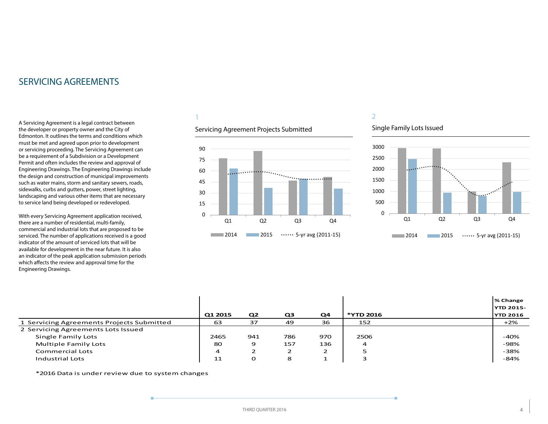## <span id="page-3-0"></span>SERVICING AGREEMENTS

A Servicing Agreement is a legal contract between the developer or property owner and the City of Edmonton. It outlines the terms and conditions which must be met and agreed upon prior to development or servicing proceeding. The Servicing Agreement can be a requirement of a Subdivision or a Development Permit and often includes the review and approval of Engineering Drawings. The Engineering Drawings include the design and construction of municipal improvements such as water mains, storm and sanitary sewers, roads, sidewalks, curbs and gutters, power, street lighting, landscaping and various other items that are necessary to service land being developed or redeveloped.

With every Servicing Agreement application received, there are a number of residential, multi-family, commercial and industrial lots that are proposed to be serviced. The number of applications received is a good indicator of the amount of serviced lots that will be available for development in the near future. It is also an indicator of the peak application submission periods which affects the review and approval time for the Engineering Drawings.

### 1

#### Servicing Agreement Projects Submitted



#### 2

#### Single Family Lots Issued



|                                           |         |                |                |     |                  | <b>1% Change</b>  |
|-------------------------------------------|---------|----------------|----------------|-----|------------------|-------------------|
|                                           |         |                |                |     |                  | <b>IYTD 2015-</b> |
|                                           | Q1 2015 | Q <sub>2</sub> | Q <sub>3</sub> | Q4  | <b>*YTD 2016</b> | <b>YTD 2016</b>   |
| 1 Servicing Agreements Projects Submitted | 63      | 37             | 49             | 36  | 152              | $+2\%$            |
| 2 Servicing Agreements Lots Issued        |         |                |                |     |                  |                   |
| Single Family Lots                        | 2465    | 941            | 786            | 970 | 2506             | $-40%$            |
| <b>Multiple Family Lots</b>               | 80      | 9              | 157            | 136 | 4                | -98%              |
| <b>Commercial Lots</b>                    | 4       | 2              |                |     | 5                | -38%              |
| Industrial Lots                           | 11      | o              | 8              |     |                  | $-84%$            |

\*2016 Data is under review due to system changes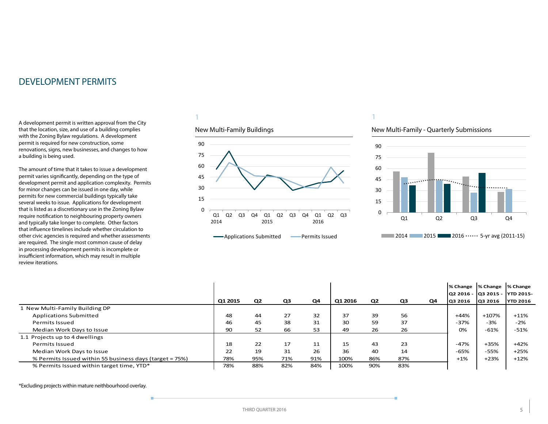<span id="page-4-0"></span>A development permit is written approval from the City that the location, size, and use of a building complies with the Zoning Bylaw regulations. A development permit is required for new construction, some renovations, signs, new businesses, and changes to how a building is being used.

The amount of time that it takes to issue a development permit varies significantly, depending on the type of development permit and application complexity. Permits for minor changes can be issued in one day, while permits for new commercial buildings typically take several weeks to issue. Applications for development that is listed as a discretionary use in the Zoning Bylaw require notification to neighbouring property owners and typically take longer to complete. Other factors that influence timelines include whether circulation to other civic agencies is required and whether assessments are required. The single most common cause of delay in processing development permits is incomplete or insufficient information, which may result in multiple review iterations.

#### 1

#### New Multi-Family Buildings



#### 1

#### New Multi-Family - Quarterly Submissions



|                                                         |         |     |                |     |         |                |                |    | % Change | % Change<br> Q2 2016 -  Q3 2015 -  YTD 2015- | % Change        |
|---------------------------------------------------------|---------|-----|----------------|-----|---------|----------------|----------------|----|----------|----------------------------------------------|-----------------|
|                                                         | Q1 2015 | Q2  | Q <sub>3</sub> | Q4  | Q1 2016 | Q <sub>2</sub> | Q <sub>3</sub> | Q4 | Q3 2016  | Q3 2016                                      | <b>YTD 2016</b> |
| 1 New Multi-Family Building DP                          |         |     |                |     |         |                |                |    |          |                                              |                 |
| <b>Applications Submitted</b>                           | 48      | 44  | 27             | 32  | 37      | 39             | 56             |    | $+44%$   | $+107%$                                      | $+11%$          |
| Permits Issued                                          | 46      | 45  | 38             | 31  | 30      | 59             | 37             |    | $-37%$   | $-3%$                                        | $-2%$           |
| Median Work Days to Issue                               | 90      | 52  | 66             | 53  | 49      | 26             | 26             |    | 0%       | $-61%$                                       | $-51%$          |
| 1.1 Projects up to 4 dwellings                          |         |     |                |     |         |                |                |    |          |                                              |                 |
| Permits Issued                                          | 18      | 22  | 17             | 11  | 15      | 43             | 23             |    | $-47%$   | $+35%$                                       | $+42%$          |
| Median Work Days to Issue                               | 22      | 19  | 31             | 26  | 36      | 40             | 14             |    | $-65%$   | $-55%$                                       | $+25%$          |
| % Permits Issued within 55 business days (target = 75%) | 78%     | 95% | 71%            | 91% | 100%    | 86%            | 87%            |    | $+1%$    | $+23%$                                       | $+12%$          |
| % Permits Issued within target time, YTD*               | 78%     | 88% | 82%            | 84% | 100%    | 90%            | 83%            |    |          |                                              |                 |

\*Excluding projects within mature neithbourhood overlay.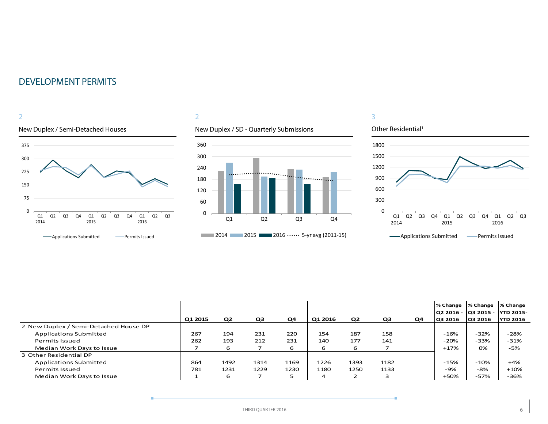

#### 2

#### New Duplex / SD - Quarterly Submissions



#### 3



|                                       |         |      |                |      |         |                |      |    | % Change  % Change  % Change     |         |                 |
|---------------------------------------|---------|------|----------------|------|---------|----------------|------|----|----------------------------------|---------|-----------------|
|                                       |         |      |                |      |         |                |      |    | lQ2 2016 - lQ3 2015 - lYTD 2015- |         |                 |
|                                       | Q1 2015 | Q2   | Q <sub>3</sub> | Q4   | Q1 2016 | Q <sub>2</sub> | Q3   | Q4 | Q3 2016                          | Q3 2016 | <b>YTD 2016</b> |
| 2 New Duplex / Semi-Detached House DP |         |      |                |      |         |                |      |    |                                  |         |                 |
| <b>Applications Submitted</b>         | 267     | 194  | 231            | 220  | 154     | 187            | 158  |    | $-16%$                           | $-32%$  | $-28%$          |
| Permits Issued                        | 262     | 193  | 212            | 231  | 140     | 177            | 141  |    | $-20%$                           | $-33%$  | $-31%$          |
| Median Work Days to Issue             |         | 6    |                | 6    | 6       | 6              |      |    | $+17%$                           | 0%      | $-5%$           |
| 3 Other Residential DP                |         |      |                |      |         |                |      |    |                                  |         |                 |
| <b>Applications Submitted</b>         | 864     | 1492 | 1314           | 1169 | 1226    | 1393           | 1182 |    | $-15%$                           | $-10%$  | $+4%$           |
| Permits Issued                        | 781     | 1231 | 1229           | 1230 | 1180    | 1250           | 1133 |    | -9%                              | $-8%$   | $+10%$          |
| Median Work Days to Issue             |         | 6    |                |      | 4       |                |      |    | $+50%$                           | $-57%$  | $-36%$          |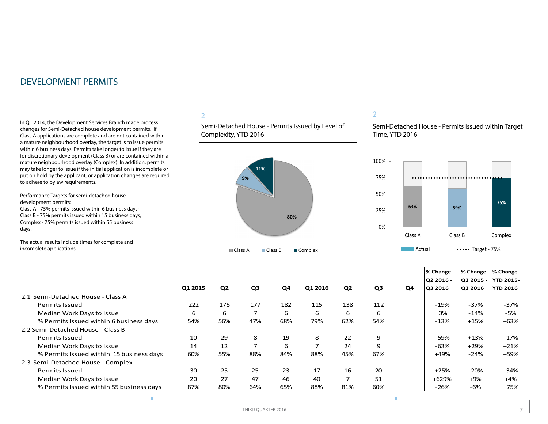In Q1 2014, the Development Services Branch made process changes for Semi-Detached house development permits. If Class A applications are complete and are not contained within a mature neighbourhood overlay, the target is to issue permits within 6 business days. Permits take longer to issue if they are for discretionary development (Class B) or are contained within a mature neighbourhood overlay (Complex). In addition, permits may take longer to issue if the initial application is incomplete or put on hold by the applicant, or application changes are required to adhere to bylaw requirements.

Performance Targets for semi-detached house development permits: Class A - 75% permits issued within 6 business days;

Class B - 75% permits issued within 15 business days; Complex - 75% permits issued within 55 business days.

The actual results include times for complete and incomplete applications.

#### 2

Semi-Detached House - Permits Issued by Level of Complexity, YTD 2016



#### 2

Semi-Detached House - Permits Issued within Target Time, YTD 2016



|                                          | Q1 2015 | Q <sub>2</sub> | Q3             | Q4  | Q1 2016 | Q <sub>2</sub> | Q3  | Q4 | % Change<br>Q2 2016 -<br>Q3 2016 | % Change<br>IQ3 2015 -<br>Q3 2016 | % Change<br>IYTD 2015-<br><b>YTD 2016</b> |
|------------------------------------------|---------|----------------|----------------|-----|---------|----------------|-----|----|----------------------------------|-----------------------------------|-------------------------------------------|
| 2.1 Semi-Detached House - Class A        |         |                |                |     |         |                |     |    |                                  |                                   |                                           |
| <b>Permits Issued</b>                    | 222     | 176            | 177            | 182 | 115     | 138            | 112 |    | $-19%$                           | $-37%$                            | $-37%$                                    |
| Median Work Days to Issue                | 6       | 6              | 7              | 6   | 6       | 6              | 6   |    | 0%                               | $-14%$                            | -5%                                       |
| % Permits Issued within 6 business days  | 54%     | 56%            | 47%            | 68% | 79%     | 62%            | 54% |    | $-13%$                           | $+15%$                            | +63%                                      |
| 2.2 Semi-Detached House - Class B        |         |                |                |     |         |                |     |    |                                  |                                   |                                           |
| <b>Permits Issued</b>                    | 10      | 29             | 8              | 19  | 8       | 22             | 9   |    | -59%                             | $+13%$                            | $-17%$                                    |
| Median Work Days to Issue                | 14      | 12             | $\overline{7}$ | 6   | ⇁       | 24             | 9   |    | $-63%$                           | $+29%$                            | $+21%$                                    |
| % Permits Issued within 15 business days | 60%     | 55%            | 88%            | 84% | 88%     | 45%            | 67% |    | +49%                             | $-24%$                            | +59%                                      |
| 2.3 Semi-Detached House - Complex        |         |                |                |     |         |                |     |    |                                  |                                   |                                           |
| <b>Permits Issued</b>                    | 30      | 25             | 25             | 23  | 17      | 16             | 20  |    | $+25%$                           | $-20%$                            | $-34%$                                    |
| Median Work Days to Issue                | 20      | 27             | 47             | 46  | 40      | ⇁              | 51  |    | +629%                            | +9%                               | $+4%$                                     |
| % Permits Issued within 55 business days | 87%     | 80%            | 64%            | 65% | 88%     | 81%            | 60% |    | $-26%$                           | -6%                               | +75%                                      |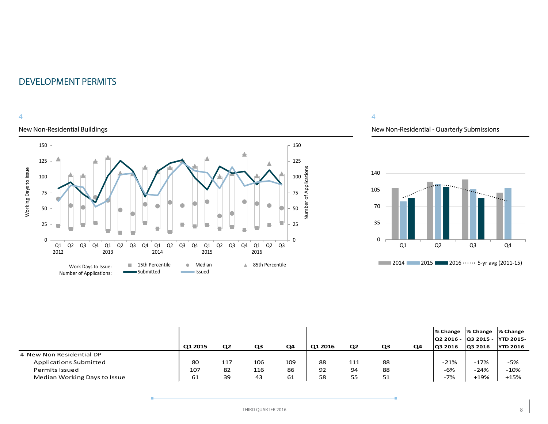#### 4

#### New Non-Residential Buildings



#### 4

#### New Non-Residential - Quarterly Submissions



|                               |         |                |     |     |         |                |    |    | % Change  % Change  % Change<br>Q2 2016 - Q3 2015 - YTD 2015- |                |                 |
|-------------------------------|---------|----------------|-----|-----|---------|----------------|----|----|---------------------------------------------------------------|----------------|-----------------|
|                               | Q1 2015 | Q <sub>2</sub> | Q3  | Q4  | Q1 2016 | Q <sub>2</sub> | Q3 | Q4 | <b>Q3 2016</b>                                                | <b>Q3 2016</b> | <b>YTD 2016</b> |
| 4 New Non Residential DP      |         |                |     |     |         |                |    |    |                                                               |                |                 |
| <b>Applications Submitted</b> | 80      | 117            | 106 | 109 | 88      | 111            | 88 |    | $-21%$                                                        | $-17%$         | $-5%$           |
| <b>Permits Issued</b>         | 107     | 82             | 116 | 86  | 92      | 94             | 88 |    | -6%                                                           | $-24%$         | $-10%$          |
| Median Working Days to Issue  | 61      | 39             | 43  | 61  | 58      | 55             | 51 |    | $-7%$                                                         | $+19%$         | $+15%$          |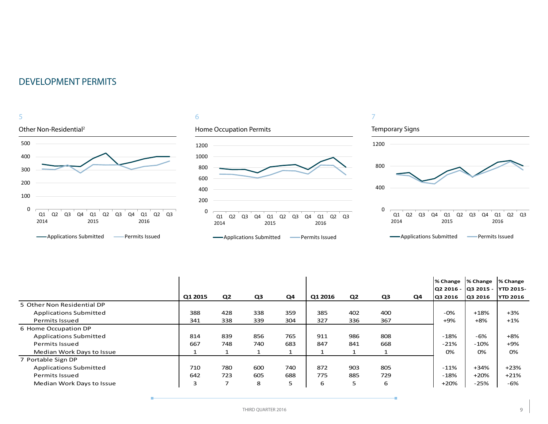







7

÷

|                               |         |                |                |                |         |                |     |    | % Change  % Change<br> Q2 2016 -  Q3 2015 -  YTD 2015- |         | % Change        |
|-------------------------------|---------|----------------|----------------|----------------|---------|----------------|-----|----|--------------------------------------------------------|---------|-----------------|
|                               | Q1 2015 | Q <sub>2</sub> | Q <sub>3</sub> | Q <sub>4</sub> | Q1 2016 | Q <sub>2</sub> | Q3  | Q4 | Q3 2016                                                | Q3 2016 | <b>YTD 2016</b> |
| 5 Other Non Residential DP    |         |                |                |                |         |                |     |    |                                                        |         |                 |
| <b>Applications Submitted</b> | 388     | 428            | 338            | 359            | 385     | 402            | 400 |    | $-0\%$                                                 | $+18%$  | $+3%$           |
| <b>Permits Issued</b>         | 341     | 338            | 339            | 304            | 327     | 336            | 367 |    | $+9%$                                                  | $+8%$   | $+1\%$          |
| 6 Home Occupation DP          |         |                |                |                |         |                |     |    |                                                        |         |                 |
| <b>Applications Submitted</b> | 814     | 839            | 856            | 765            | 911     | 986            | 808 |    | -18%                                                   | $-6%$   | $+8%$           |
| <b>Permits Issued</b>         | 667     | 748            | 740            | 683            | 847     | 841            | 668 |    | $-21%$                                                 | $-10%$  | $+9%$           |
| Median Work Days to Issue     |         |                |                |                |         |                |     |    | 0%                                                     | 0%      | 0%              |
| 7 Portable Sign DP            |         |                |                |                |         |                |     |    |                                                        |         |                 |
| <b>Applications Submitted</b> | 710     | 780            | 600            | 740            | 872     | 903            | 805 |    | $-11\%$                                                | $+34%$  | $+23%$          |
| <b>Permits Issued</b>         | 642     | 723            | 605            | 688            | 775     | 885            | 729 |    | $-18%$                                                 | $+20%$  | $+21%$          |
| Median Work Days to Issue     | 3       | ⇁              | 8              | 5              | 6       | 5              | 6   |    | $+20%$                                                 | $-25%$  | -6%             |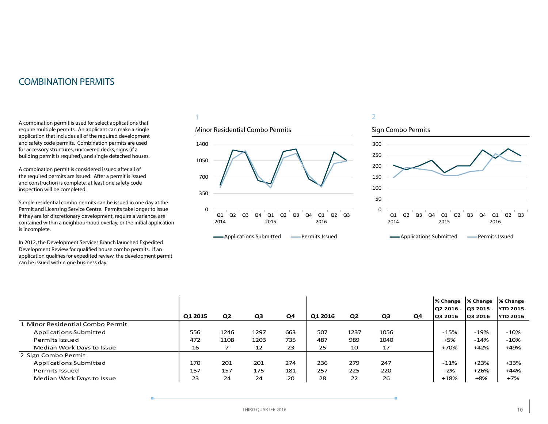## <span id="page-9-0"></span>COMBINATION PERMITS

A combination permit is used for select applications that require multiple permits. An applicant can make a single application that includes all of the required development and safety code permits. Combination permits are used for accessory structures, uncovered decks, signs (if a building permit is required), and single detached houses.

A combination permit is considered issued after all of the required permits are issued. After a permit is issued and construction is complete, at least one safety code inspection will be completed.

Simple residential combo permits can be issued in one day at the Permit and Licensing Service Centre. Permits take longer to issue if they are for discretionary development, require a variance, are contained within a neighbourhood overlay, or the initial application is incomplete.

In 2012, the Development Services Branch launched Expedited Development Review for qualified house combo permits. If an application qualifies for expedited review, the development permit can be issued within one business day.

#### 1

#### Minor Residential Combo Permits





### 2





|                                  |         |                |                |     |         |                |                |    | % Change | % Change                       | % Change                            |
|----------------------------------|---------|----------------|----------------|-----|---------|----------------|----------------|----|----------|--------------------------------|-------------------------------------|
|                                  | Q1 2015 | Q <sub>2</sub> | Q <sub>3</sub> | Q4  | Q1 2016 | Q <sub>2</sub> | Q <sub>3</sub> | Q4 | Q3 2016  | Q2 2016 - Q3 2015 -<br>Q3 2016 | <b>YTD 2015-</b><br><b>YTD 2016</b> |
|                                  |         |                |                |     |         |                |                |    |          |                                |                                     |
| 1 Minor Residential Combo Permit |         |                |                |     |         |                |                |    |          |                                |                                     |
| <b>Applications Submitted</b>    | 556     | 1246           | 1297           | 663 | 507     | 1237           | 1056           |    | $-15%$   | $-19%$                         | $-10%$                              |
| Permits Issued                   | 472     | 1108           | 1203           | 735 | 487     | 989            | 1040           |    | $+5%$    | $-14%$                         | $-10%$                              |
| Median Work Days to Issue        | 16      |                | 12             | 23  | 25      | 10             | 17             |    | +70%     | $+42%$                         | +49%                                |
| 2 Sign Combo Permit              |         |                |                |     |         |                |                |    |          |                                |                                     |
| <b>Applications Submitted</b>    | 170     | 201            | 201            | 274 | 236     | 279            | 247            |    | $-11%$   | $+23%$                         | $+33%$                              |
| <b>Permits Issued</b>            | 157     | 157            | 175            | 181 | 257     | 225            | 220            |    | $-2%$    | $+26%$                         | $+44%$                              |
| Median Work Days to Issue        | 23      | 24             | 24             | 20  | 28      | 22             | 26             |    | $+18%$   | $+8%$                          | $+7%$                               |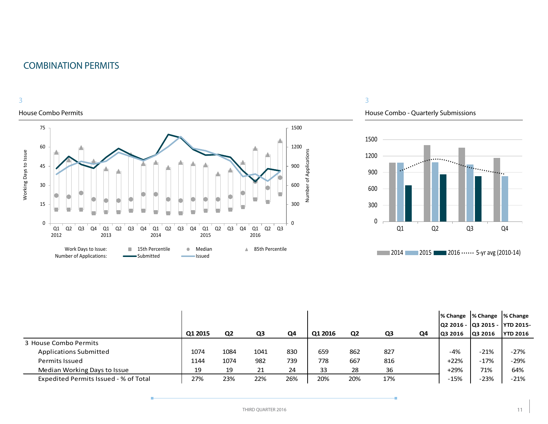## COMBINATION PERMITS



#### House Combo Permits



#### 3

House Combo - Quarterly Submissions



|                                       |         |                |      |     |         |                |     |    |                | $\frac{1}{6}$ Change $\frac{1}{6}$ Change $\frac{1}{6}$ Change<br> Q2 2016 -  Q3 2015 -  YTD 2015- |                 |
|---------------------------------------|---------|----------------|------|-----|---------|----------------|-----|----|----------------|----------------------------------------------------------------------------------------------------|-----------------|
|                                       | Q1 2015 | Q <sub>2</sub> | Q3   | Q4  | Q1 2016 | Q <sub>2</sub> | Q3  | Q4 | <b>Q3 2016</b> | Q3 2016                                                                                            | <b>YTD 2016</b> |
| 3 House Combo Permits                 |         |                |      |     |         |                |     |    |                |                                                                                                    |                 |
| <b>Applications Submitted</b>         | 1074    | 1084           | 1041 | 830 | 659     | 862            | 827 |    | $-4%$          | $-21%$                                                                                             | $-27%$          |
| <b>Permits Issued</b>                 | 1144    | 1074           | 982  | 739 | 778     | 667            | 816 |    | $+22%$         | $-17%$                                                                                             | $-29%$          |
| Median Working Days to Issue          | 19      | 19             | 21   | 24  | 33      | 28             | 36  |    | $+29%$         | 71%                                                                                                | 64%             |
| Expedited Permits Issued - % of Total | 27%     | 23%            | 22%  | 26% | 20%     | 20%            | 17% |    | $-15%$         | $-23%$                                                                                             | $-21%$          |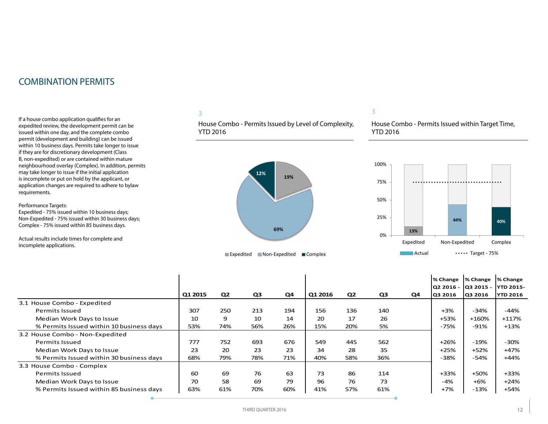## COMBINATION PERMITS

If a house combo application qualifies for an expedited review, the development permit can be issued within one day, and the complete combo permit (development and building) can be issued within 10 business days. Permits take longer to issue if they are for discretionary development (Class B, non-expedited) or are contained within mature neighbourhood overlay (Complex). In addition, permits may take longer to issue if the initial application is incomplete or put on hold by the applicant, or application changes are required to adhere to bylaw requirements.

Performance Targets:

Expedited - 75% issued within 10 business days; Non-Expedited - 75% issued within 30 business days; Complex - 75% issued within 85 business days.

Actual results include times for complete and incomplete applications.

#### 3

House Combo - Permits Issued by Level of Complexity, YTD 2016



#### 3

House Combo - Permits Issued within Target Time, YTD 2016



|                                          | Q1 2015 | Q <sub>2</sub> | Q3  | Q4  | Q1 2016 | Q <sub>2</sub> | Q <sub>3</sub> | Q4 | % Change<br><b>Q2 2016 -</b><br>Q3 2016 | % Change<br>Q3 2015 -<br>Q3 2016 | % Change<br><b>YTD 2015-</b><br><b>YTD 2016</b> |
|------------------------------------------|---------|----------------|-----|-----|---------|----------------|----------------|----|-----------------------------------------|----------------------------------|-------------------------------------------------|
| 3.1 House Combo - Expedited              |         |                |     |     |         |                |                |    |                                         |                                  |                                                 |
| Permits Issued                           | 307     | 250            | 213 | 194 | 156     | 136            | 140            |    | $+3%$                                   | $-34%$                           | $-44%$                                          |
| Median Work Days to Issue                | 10      | 9              | 10  | 14  | 20      | 17             | 26             |    | +53%                                    | $+160%$                          | $+117%$                                         |
| % Permits Issued within 10 business days | 53%     | 74%            | 56% | 26% | 15%     | 20%            | 5%             |    | $-75%$                                  | -91%                             | $+13%$                                          |
| 3.2 House Combo - Non-Expedited          |         |                |     |     |         |                |                |    |                                         |                                  |                                                 |
| Permits Issued                           | 777     | 752            | 693 | 676 | 549     | 445            | 562            |    | $+26%$                                  | $-19%$                           | $-30%$                                          |
| Median Work Days to Issue                | 23      | 20             | 23  | 23  | 34      | 28             | 35             |    | $+25%$                                  | $+52%$                           | $+47%$                                          |
| % Permits Issued within 30 business days | 68%     | 79%            | 78% | 71% | 40%     | 58%            | 36%            |    | $-38%$                                  | -54%                             | $+44%$                                          |
| 3.3 House Combo - Complex                |         |                |     |     |         |                |                |    |                                         |                                  |                                                 |
| Permits Issued                           | 60      | 69             | 76  | 63  | 73      | 86             | 114            |    | +33%                                    | +50%                             | $+33%$                                          |
| Median Work Days to Issue                | 70      | 58             | 69  | 79  | 96      | 76             | 73             |    | $-4%$                                   | $+6%$                            | $+24%$                                          |
| % Permits Issued within 85 business days | 63%     | 61%            | 70% | 60% | 41%     | 57%            | 61%            |    | $+7%$                                   | $-13%$                           | $+54%$                                          |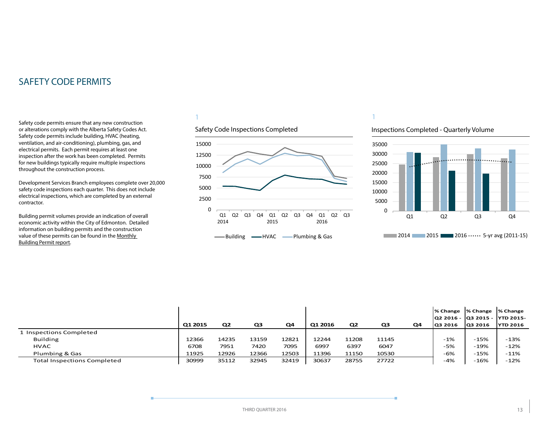<span id="page-12-0"></span>Safety code permits ensure that any new construction or alterations comply with the Alberta Safety Codes Act. Safety code permits include building, HVAC (heating, ventilation, and air-conditioning), plumbing, gas, and electrical permits. Each permit requires at least one inspection after the work has been completed. Permits for new buildings typically require multiple inspections throughout the construction process.

Development Services Branch employees complete over 20,000 safety code inspections each quarter. This does not include electrical inspections, which are completed by an external contractor.

Building permit volumes provide an indication of overall economic activity within the City of Edmonton. Detailed information on building permits and the construction value of these permits can be found in the [Monthly](http://www.edmonton.ca/buildingpermitreport)  [Building Permit report](http://www.edmonton.ca/buildingpermitreport).

#### 1





1

#### Inspections Completed - Quarterly Volume



|                                    |         |                |       |                |         |                |                |    | % Change  % Change  % Change     |         |                 |
|------------------------------------|---------|----------------|-------|----------------|---------|----------------|----------------|----|----------------------------------|---------|-----------------|
|                                    |         |                |       |                |         |                |                |    | lQ2 2016 - lQ3 2015 - lYTD 2015- |         |                 |
|                                    | Q1 2015 | Q <sub>2</sub> | Q3    | Q <sub>4</sub> | Q1 2016 | Q <sub>2</sub> | Q <sub>3</sub> | Q4 | Q3 2016                          | Q3 2016 | <b>YTD 2016</b> |
| 1 Inspections Completed            |         |                |       |                |         |                |                |    |                                  |         |                 |
| <b>Building</b>                    | 12366   | 14235          | 13159 | 12821          | 12244   | 11208          | 11145          |    | $-1%$                            | $-15%$  | $-13%$          |
| <b>HVAC</b>                        | 6708    | 7951           | 7420  | 7095           | 6997    | 6397           | 6047           |    | -5%                              | $-19%$  | $-12%$          |
| Plumbing & Gas                     | 11925   | 12926          | 12366 | 12503          | 11396   | 11150          | 10530          |    | -6%                              | $-15%$  | $-11%$          |
| <b>Total Inspections Completed</b> | 30999   | 35112          | 32945 | 32419          | 30637   | 28755          | 27722          |    | $-4%$                            | $-16%$  | $-12%$          |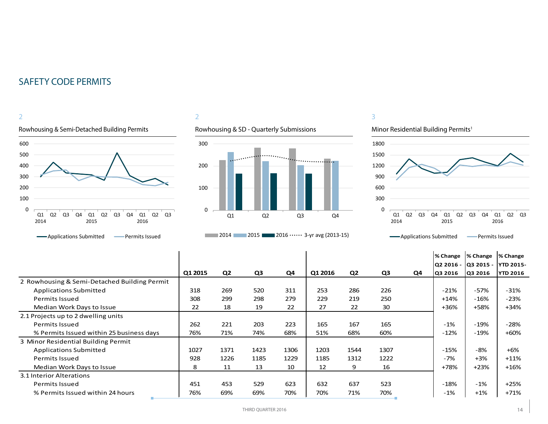2



#### 2



#### 3

Minor Residential Building Permits<sup>1</sup>



| Permits Issued<br><b>Applications Submitted</b> | 2016 $\cdots$ 3-yr avg (2013-15)<br>2014<br>$2015$ L |                |                |      |         |                |      | <b>Applications Submitted</b> |                                  | -Permits Issued<br><b>Contract</b> |                                                 |  |
|-------------------------------------------------|------------------------------------------------------|----------------|----------------|------|---------|----------------|------|-------------------------------|----------------------------------|------------------------------------|-------------------------------------------------|--|
|                                                 | Q1 2015                                              | Q <sub>2</sub> | Q <sub>3</sub> | Q4   | Q1 2016 | Q <sub>2</sub> | Q3   | Q4                            | % Change<br>Q2 2016 -<br>Q3 2016 | % Change<br>Q3 2015 -<br>Q3 2016   | % Change<br><b>YTD 2015-</b><br><b>YTD 2016</b> |  |
| 2 Rowhousing & Semi-Detached Building Permit    |                                                      |                |                |      |         |                |      |                               |                                  |                                    |                                                 |  |
| <b>Applications Submitted</b>                   | 318                                                  | 269            | 520            | 311  | 253     | 286            | 226  |                               | $-21%$                           | $-57%$                             | $-31%$                                          |  |
| <b>Permits Issued</b>                           | 308                                                  | 299            | 298            | 279  | 229     | 219            | 250  |                               | $+14%$                           | $-16%$                             | $-23%$                                          |  |
| Median Work Days to Issue                       | 22                                                   | 18             | 19             | 22   | 27      | 22             | 30   |                               | $+36%$                           | +58%                               | $+34%$                                          |  |
| 2.1 Projects up to 2 dwelling units             |                                                      |                |                |      |         |                |      |                               |                                  |                                    |                                                 |  |
| <b>Permits Issued</b>                           | 262                                                  | 221            | 203            | 223  | 165     | 167            | 165  |                               | $-1%$                            | $-19%$                             | $-28%$                                          |  |
| % Permits Issued within 25 business days        | 76%                                                  | 71%            | 74%            | 68%  | 51%     | 68%            | 60%  |                               | $-12%$                           | $-19%$                             | $+60%$                                          |  |
| 3 Minor Residential Building Permit             |                                                      |                |                |      |         |                |      |                               |                                  |                                    |                                                 |  |
| <b>Applications Submitted</b>                   | 1027                                                 | 1371           | 1423           | 1306 | 1203    | 1544           | 1307 |                               | $-15%$                           | -8%                                | $+6%$                                           |  |
| <b>Permits Issued</b>                           | 928                                                  | 1226           | 1185           | 1229 | 1185    | 1312           | 1222 |                               | $-7%$                            | $+3%$                              | $+11%$                                          |  |
| Median Work Days to Issue                       | 8                                                    | 11             | 13             | 10   | 12      | 9              | 16   |                               | +78%                             | $+23%$                             | $+16%$                                          |  |
| 3.1 Interior Alterations                        |                                                      |                |                |      |         |                |      |                               |                                  |                                    |                                                 |  |
| <b>Permits Issued</b>                           | 451                                                  | 453            | 529            | 623  | 632     | 637            | 523  |                               | $-18%$                           | $-1%$                              | $+25%$                                          |  |
| % Permits Issued within 24 hours                | 76%                                                  | 69%            | 69%            | 70%  | 70%     | 71%            | 70%  |                               | $-1%$                            | $+1%$                              | $+71%$                                          |  |
|                                                 |                                                      |                |                |      |         |                |      |                               |                                  |                                    |                                                 |  |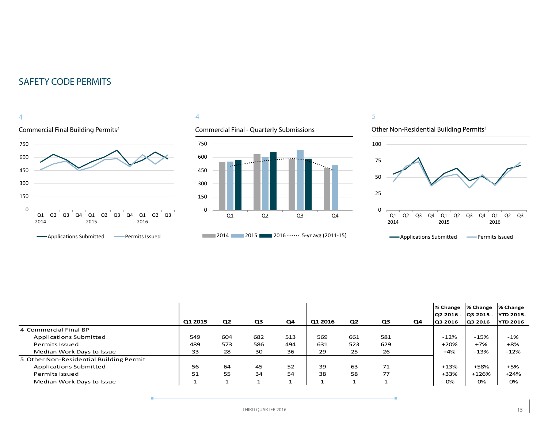#### Commercial Final Building Permits2 4 0 150 300 450 600 750 Q1 Q2 Q3 Q4 Q1 2014 2015 Q2 Q3 Q4 Q1 2016 Q2 Q3 **-**Applications Submitted **-** Permits Issued

#### 4

#### Commercial Final - Quarterly Submissions



#### 5



|                                         |         |                |                |                |         |                |     |    | % Change  % Change               |         | % Change        |
|-----------------------------------------|---------|----------------|----------------|----------------|---------|----------------|-----|----|----------------------------------|---------|-----------------|
|                                         |         |                |                |                |         |                |     |    | lQ2 2016 - lQ3 2015 - lYTD 2015- |         |                 |
|                                         | Q1 2015 | Q <sub>2</sub> | Q <sub>3</sub> | Q <sub>4</sub> | Q1 2016 | Q <sub>2</sub> | Q3  | Q4 | Q3 2016                          | Q3 2016 | <b>YTD 2016</b> |
| 4 Commercial Final BP                   |         |                |                |                |         |                |     |    |                                  |         |                 |
| <b>Applications Submitted</b>           | 549     | 604            | 682            | 513            | 569     | 661            | 581 |    | $-12%$                           | $-15%$  | $-1%$           |
| <b>Permits Issued</b>                   | 489     | 573            | 586            | 494            | 631     | 523            | 629 |    | $+20%$                           | $+7%$   | $+8%$           |
| Median Work Days to Issue               | 33      | 28             | 30             | 36             | 29      | 25             | 26  |    | $+4%$                            | $-13%$  | $-12%$          |
| 5 Other Non-Residential Building Permit |         |                |                |                |         |                |     |    |                                  |         |                 |
| <b>Applications Submitted</b>           | 56      | 64             | 45             | 52             | 39      | 63             | 71  |    | $+13%$                           | +58%    | $+5%$           |
| <b>Permits Issued</b>                   | 51      | 55             | 34             | 54             | 38      | 58             | 77  |    | +33%                             | $+126%$ | $+24%$          |
| Median Work Days to Issue               |         |                |                | ∸              | ٠       |                |     |    | 0%                               | 0%      | 0%              |

 $\mathbf{r}$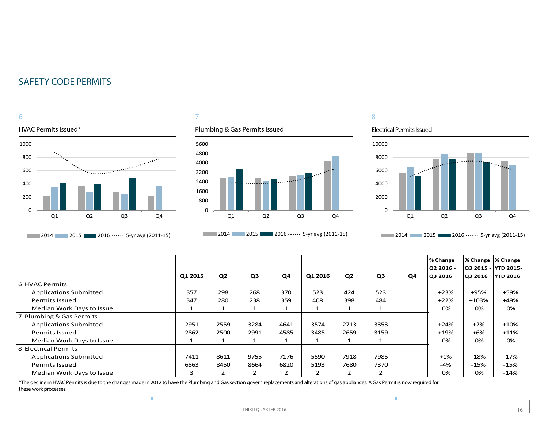## 6



#### **2014** 2015 **2016 ······** 5-yr avg (2011-15)

## 7

#### Plumbing & Gas Permits Issued



## 8

#### Electrical Permits Issued

÷



**2014** 2015 **2016 ••••••** 5-yr avg (2011-15)

**2014** 2015 2016  $\cdots$  5-yr avg (2011-15)

|                               |         |                |                |      |         |                |      |    | % Change  | % Change  % Change |                       |
|-------------------------------|---------|----------------|----------------|------|---------|----------------|------|----|-----------|--------------------|-----------------------|
|                               |         |                |                |      |         |                |      |    | O2 2016 - |                    | Q3 2015 -   YTD 2015- |
|                               | Q1 2015 | Q <sub>2</sub> | Q3             | Q4   | Q1 2016 | Q <sub>2</sub> | Q3   | Q4 | Q3 2016   | Q3 2016            | <b>YTD 2016</b>       |
| 6 HVAC Permits                |         |                |                |      |         |                |      |    |           |                    |                       |
| <b>Applications Submitted</b> | 357     | 298            | 268            | 370  | 523     | 424            | 523  |    | $+23%$    | +95%               | +59%                  |
| <b>Permits Issued</b>         | 347     | 280            | 238            | 359  | 408     | 398            | 484  |    | $+22%$    | $+103%$            | +49%                  |
| Median Work Days to Issue     |         |                |                |      |         |                |      |    | 0%        | 0%                 | 0%                    |
| 7 Plumbing & Gas Permits      |         |                |                |      |         |                |      |    |           |                    |                       |
| <b>Applications Submitted</b> | 2951    | 2559           | 3284           | 4641 | 3574    | 2713           | 3353 |    | +24%      | $+2%$              | $+10%$                |
| <b>Permits Issued</b>         | 2862    | 2500           | 2991           | 4585 | 3485    | 2659           | 3159 |    | $+19%$    | $+6%$              | $+11%$                |
| Median Work Days to Issue     |         |                |                |      |         |                |      |    | 0%        | 0%                 | 0%                    |
| 8 Electrical Permits          |         |                |                |      |         |                |      |    |           |                    |                       |
| <b>Applications Submitted</b> | 7411    | 8611           | 9755           | 7176 | 5590    | 7918           | 7985 |    | $+1%$     | $-18%$             | $-17%$                |
| <b>Permits Issued</b>         | 6563    | 8450           | 8664           | 6820 | 5193    | 7680           | 7370 |    | $-4%$     | $-15%$             | $-15%$                |
| Median Work Days to Issue     | 3       | 2              | $\overline{2}$ | 2    | 2       | 2              | 2    |    | 0%        | 0%                 | $-14%$                |

\*The decline in HVAC Permits is due to the changes made in 2012 to have the Plumbing and Gas section govern replacements and alterations of gas appliances. A Gas Permit is now required for these work processes.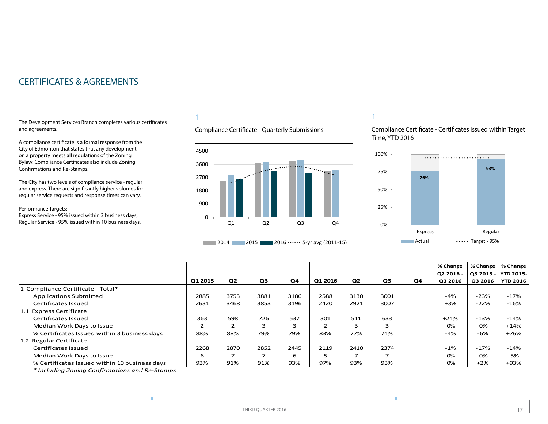## <span id="page-16-0"></span>CERTIFICATES & AGREEMENTS

The Development Services Branch completes various certificates and agreements.

A compliance certificate is a formal response from the City of Edmonton that states that any development on a property meets all regulations of the Zoning Bylaw. Compliance Certificates also include Zoning Confirmations and Re-Stamps.

The City has two levels of compliance service - regular and express. There are significantly higher volumes for regular service requests and response times can vary.

Performance Targets:

Express Service - 95% issued within 3 business days; Regular Service - 95% issued within 10 business days.

### 1

#### Compliance Certificate - Quarterly Submissions





#### 1

Compliance Certificate - Certificates Issued within Target Time, YTD 2016



|                                                |         |                |                |      |         |                |                |    | % Change             | % Change             | % Change<br><b>YTD 2015-</b> |
|------------------------------------------------|---------|----------------|----------------|------|---------|----------------|----------------|----|----------------------|----------------------|------------------------------|
|                                                | Q1 2015 | Q <sub>2</sub> | Q <sub>3</sub> | Q4   | Q1 2016 | Q <sub>2</sub> | Q <sub>3</sub> | Q4 | Q2 2016 -<br>Q3 2016 | Q3 2015 -<br>Q3 2016 | <b>YTD 2016</b>              |
| 1 Compliance Certificate - Total*              |         |                |                |      |         |                |                |    |                      |                      |                              |
| <b>Applications Submitted</b>                  | 2885    | 3753           | 3881           | 3186 | 2588    | 3130           | 3001           |    | $-4%$                | $-23%$               | $-17%$                       |
| Certificates Issued                            | 2631    | 3468           | 3853           | 3196 | 2420    | 2921           | 3007           |    | $+3%$                | $-22%$               | $-16%$                       |
| 1.1 Express Certificate                        |         |                |                |      |         |                |                |    |                      |                      |                              |
| Certificates Issued                            | 363     | 598            | 726            | 537  | 301     | 511            | 633            |    | $+24%$               | $-13%$               | $-14%$                       |
| Median Work Days to Issue                      |         |                | 3              |      |         |                | 3              |    | 0%                   | 0%                   | $+14%$                       |
| % Certificates Issued within 3 business days   | 88%     | 88%            | 79%            | 79%  | 83%     | 77%            | 74%            |    | -4%                  | -6%                  | +76%                         |
| 1.2 Regular Certificate                        |         |                |                |      |         |                |                |    |                      |                      |                              |
| Certificates Issued                            | 2268    | 2870           | 2852           | 2445 | 2119    | 2410           | 2374           |    | $-1%$                | $-17%$               | $-14%$                       |
| Median Work Days to Issue                      | 6       |                |                | 6    |         |                |                |    | 0%                   | 0%                   | $-5%$                        |
| % Certificates Issued within 10 business days  | 93%     | 91%            | 91%            | 93%  | 97%     | 93%            | 93%            |    | 0%                   | $+2%$                | +93%                         |
| * Including Zoning Confirmations and Re-Stamps |         |                |                |      |         |                |                |    |                      |                      |                              |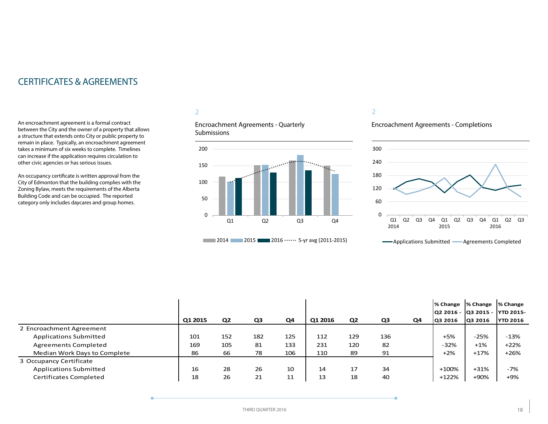## CERTIFICATES & AGREEMENTS

An encroachment agreement is a formal contract between the City and the owner of a property that allows a structure that extends onto City or public property to remain in place. Typically, an encroachment agreement takes a minimum of six weeks to complete. Timelines can increase if the application requires circulation to other civic agencies or has serious issues.

An occupancy certificate is written approval from the City of Edmonton that the building complies with the Zoning Bylaw, meets the requirements of the Alberta Building Code and can be occupied. The reported category only includes daycares and group homes.

#### 2

Encroachment Agreements - Quarterly **Submissions** 



#### 2

#### Encroachment Agreements - Completions



|                               |         |                |     |     |         |     |     |    | % Change<br>Q2 2016 - Q3 2015 - YTD 2015- | % Change | % Change        |
|-------------------------------|---------|----------------|-----|-----|---------|-----|-----|----|-------------------------------------------|----------|-----------------|
|                               | Q1 2015 | Q <sub>2</sub> | Q3  | Q4  | Q1 2016 | Q2  | Q3  | Q4 | Q3 2016                                   | Q3 2016  | <b>YTD 2016</b> |
| 2 Encroachment Agreement      |         |                |     |     |         |     |     |    |                                           |          |                 |
| <b>Applications Submitted</b> | 101     | 152            | 182 | 125 | 112     | 129 | 136 |    | $+5%$                                     | $-25%$   | -13%            |
| <b>Agreements Completed</b>   | 169     | 105            | 81  | 133 | 231     | 120 | 82  |    | $-32%$                                    | $+1%$    | $+22%$          |
| Median Work Days to Complete  | 86      | 66             | 78  | 106 | 110     | 89  | 91  |    | $+2%$                                     | $+17%$   | $+26%$          |
| 3 Occupancy Certificate       |         |                |     |     |         |     |     |    |                                           |          |                 |
| <b>Applications Submitted</b> | 16      | 28             | 26  | 10  | 14      | 17  | 34  |    | $+100%$                                   | $+31%$   | $-7%$           |
| Certificates Completed        | 18      | 26             | 21  | 11  | 13      | 18  | 40  |    | $+122%$                                   | +90%     | $+9%$           |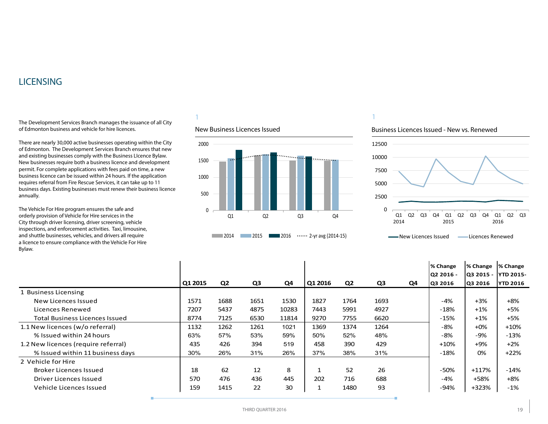## <span id="page-18-0"></span>**LICENSING**

The Development Services Branch manages the issuance of all City of Edmonton business and vehicle for hire licences.

There are nearly 30,000 active businesses operating within the City of Edmonton. The Development Services Branch ensures that new and existing businesses comply with the Business LIcence Bylaw. New businesses require both a business licence and development permit. For complete applications with fees paid on time, a new business licence can be issued within 24 hours. If the application requires referral from Fire Rescue Services, it can take up to 11 business days. Existing businesses must renew their business licence annually.

The Vehicle For Hire program ensures the safe and orderly provision of Vehicle for Hire services in the City through driver licensing, driver screening, vehicle inspections, and enforcement activities. Taxi, limousine, and shuttle businesses, vehicles, and drivers all require a licence to ensure compliance with the Vehicle For Hire Bylaw.

## 1

#### New Business Licences Issued



#### 1

#### Business Licences Issued - New vs. Renewed



|                                       |         |                |      |       |              |                |      |    | % Change<br>lQ2 2016 - | % Change<br>Q3 2015 - | % Change<br><b>YTD 2015-</b> |
|---------------------------------------|---------|----------------|------|-------|--------------|----------------|------|----|------------------------|-----------------------|------------------------------|
|                                       | Q1 2015 | Q <sub>2</sub> | Q3   | Q4    | Q1 2016      | Q <sub>2</sub> | Q3   | Q4 | Q3 2016                | Q3 2016               | <b>YTD 2016</b>              |
| 1 Business Licensing                  |         |                |      |       |              |                |      |    |                        |                       |                              |
| New Licences Issued                   | 1571    | 1688           | 1651 | 1530  | 1827         | 1764           | 1693 |    | $-4%$                  | $+3%$                 | $+8%$                        |
| Licences Renewed                      | 7207    | 5437           | 4875 | 10283 | 7443         | 5991           | 4927 |    | $-18%$                 | $+1%$                 | $+5%$                        |
| <b>Total Business Licences Issued</b> | 8774    | 7125           | 6530 | 11814 | 9270         | 7755           | 6620 |    | $-15%$                 | $+1%$                 | $+5%$                        |
| 1.1 New licences (w/o referral)       | 1132    | 1262           | 1261 | 1021  | 1369         | 1374           | 1264 |    | -8%                    | $+0\%$                | $+10%$                       |
| % Issued within 24 hours              | 63%     | 57%            | 53%  | 59%   | 50%          | 52%            | 48%  |    | -8%                    | -9%                   | $-13%$                       |
| 1.2 New licences (require referral)   | 435     | 426            | 394  | 519   | 458          | 390            | 429  |    | $+10%$                 | $+9%$                 | $+2%$                        |
| % Issued within 11 business days      | 30%     | 26%            | 31%  | 26%   | 37%          | 38%            | 31%  |    | $-18%$                 | 0%                    | $+22%$                       |
| 2 Vehicle for Hire                    |         |                |      |       |              |                |      |    |                        |                       |                              |
| Broker Licences Issued                | 18      | 62             | 12   | 8     |              | 52             | 26   |    | $-50%$                 | +117%                 | $-14%$                       |
| Driver Licences Issued                | 570     | 476            | 436  | 445   | 202          | 716            | 688  |    | -4%                    | +58%                  | $+8%$                        |
| Vehicle Licences Issued               | 159     | 1415           | 22   | 30    | $\mathbf{A}$ | 1480           | 93   |    | $-94%$                 | +323%                 | $-1%$                        |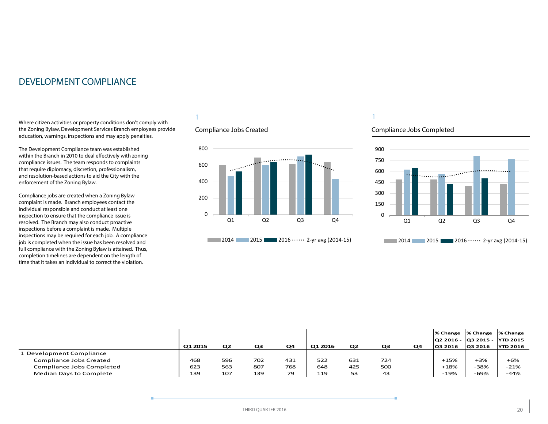## <span id="page-19-0"></span>DEVELOPMENT COMPLIANCE

Where citizen activities or property conditions don't comply with the Zoning Bylaw, Development Services Branch employees provide education, warnings, inspections and may apply penalties.

The Development Compliance team was established within the Branch in 2010 to deal effectively with zoning compliance issues. The team responds to complaints that require diplomacy, discretion, professionalism, and resolution-based actions to aid the City with the enforcement of the Zoning Bylaw.

Compliance jobs are created when a Zoning Bylaw complaint is made. Branch employees contact the individual responsible and conduct at least one inspection to ensure that the compliance issue is resolved. The Branch may also conduct proactive inspections before a complaint is made. Multiple inspections may be required for each job. A compliance job is completed when the issue has been resolved and full compliance with the Zoning Bylaw is attained. Thus, completion timelines are dependent on the length of time that it takes an individual to correct the violation.

#### 1

#### Compliance Jobs Created



## 1

#### Compliance Jobs Completed



|                           | Q1 2015 | Q <sub>2</sub> | Q3  | Q <sub>4</sub> | Q1 2016 | Q <sub>2</sub> | Q <sub>3</sub> | Q4 | % Change<br>03 2016 | % Change<br>lQ2 2016 - lQ3 2015 - lYTD 2015<br>Q3 2016 | l% Change<br><b>YTD 2016</b> |
|---------------------------|---------|----------------|-----|----------------|---------|----------------|----------------|----|---------------------|--------------------------------------------------------|------------------------------|
| 1 Development Compliance  |         |                |     |                |         |                |                |    |                     |                                                        |                              |
| Compliance Jobs Created   | 468     | 596            | 702 | 431            | 522     | 631            | 724            |    | $+15%$              | $+3%$                                                  | $+6%$                        |
| Compliance Jobs Completed | 623     | 563            | 807 | 768            | 648     | 425            | 500            |    | $+18%$              | -38%                                                   | $-21%$                       |
| Median Days to Complete   | 139     | 107            | 139 | 79             | 119     | 53             | 43             |    | -19%                | $-69%$                                                 | -44%                         |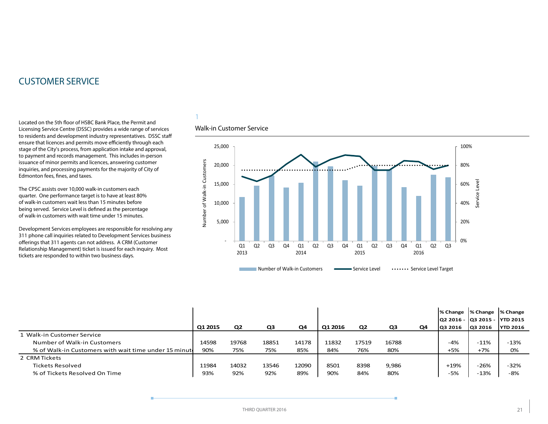## <span id="page-20-0"></span>CUSTOMER SERVICE

Located on the 5th floor of HSBC Bank Place, the Permit and Licensing Service Centre (DSSC) provides a wide range of services to residents and development industry representatives. DSSC staff ensure that licences and permits move efficiently through each stage of the City's process, from application intake and approval, to payment and records management. This includes in-person issuance of minor permits and licences, answering customer inquiries, and processing payments for the majority of City of Edmonton fees, fines, and taxes.

The CPSC assists over 10,000 walk-in customers each quarter. One performance target is to have at least 80% of walk-in customers wait less than 15 minutes before being served. Service Level is defined as the percentage of walk-in customers with wait time under 15 minutes.

Development Services employees are responsible for resolving any 311 phone call inquiries related to Development Services business offerings that 311 agents can not address. A CRM (Customer Relationship Management) ticket is issued for each inquiry. Most tickets are responded to within two business days.

## 1

#### Walk-in Customer Service



|                                                       |         |       |       |       |         |       |       |    | % Change                     | % Change  % Change |                 |
|-------------------------------------------------------|---------|-------|-------|-------|---------|-------|-------|----|------------------------------|--------------------|-----------------|
|                                                       |         |       |       |       |         |       |       |    | Q2 2016 - Q3 2015 - YTD 2015 |                    |                 |
|                                                       | Q1 2015 | Q2    | Q3    | Q4    | Q1 2016 | Q2    | Q3    | Q4 | <b>Q3 2016</b>               | <b>Q3 2016</b>     | <b>YTD 2016</b> |
| 1 Walk-in Customer Service                            |         |       |       |       |         |       |       |    |                              |                    |                 |
| Number of Walk-in Customers                           | 14598   | 19768 | 18851 | 14178 | 11832   | 17519 | 16788 |    | $-4%$                        | $-11%$             | $-13%$          |
| % of Walk-in Customers with wait time under 15 minute | 90%     | 75%   | 75%   | 85%   | 84%     | 76%   | 80%   |    | $+5%$                        | $+7%$              | 0%              |
| 2 CRM Tickets                                         |         |       |       |       |         |       |       |    |                              |                    |                 |
| Tickets Resolved                                      | 11984   | 14032 | 13546 | 12090 | 8501    | 8398  | 9,986 |    | $+19%$                       | $-26%$             | $-32%$          |
| % of Tickets Resolved On Time                         | 93%     | 92%   | 92%   | 89%   | 90%     | 84%   | 80%   |    | $-5%$                        | $-13%$             | -8%             |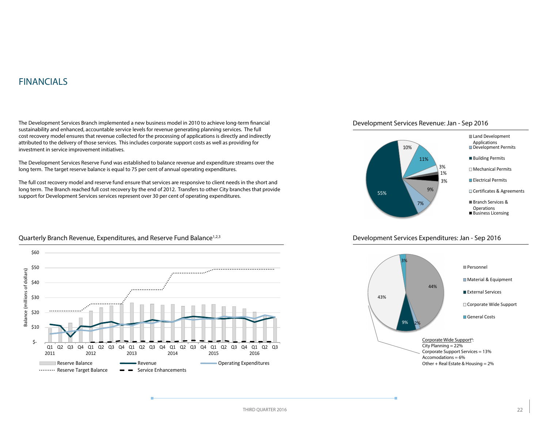## <span id="page-21-0"></span>FINANCIALS

\$-

Q1 2011

**Contract** 

Q2 Q3 Q4 Q1

2012

 $\overline{Q}$   $\overline{Q}$   $\overline{Q}$   $\overline{Q}$   $\overline{Q}$   $\overline{Q}$   $\overline{Q}$   $\overline{Q}$   $\overline{Q}$   $\overline{Q}$   $\overline{Q}$   $\overline{Q}$   $\overline{Q}$   $\overline{Q}$   $\overline{Q}$   $\overline{Q}$   $\overline{Q}$   $\overline{Q}$   $\overline{Q}$   $\overline{Q}$   $\overline{Q}$   $\overline{Q}$   $\overline{Q}$   $\overline{Q}$   $\overline{$ 

www.esserve Target Balance - - Service Enhancements

2013

\$10

\$20

\$30

Balance (millions of dollars)

Balance (millions of dollars)

\$40

\$50

\$60

The Development Services Branch implemented a new business model in 2010 to achieve long-term financial sustainability and enhanced, accountable service levels for revenue generating planning services. The full cost recovery model ensures that revenue collected for the processing of applications is directly and indirectly attributed to the delivery of those services. This includes corporate support costs as well as providing for investment in service improvement initiatives.

The Development Services Reserve Fund was established to balance revenue and expenditure streams over the long term. The target reserve balance is equal to 75 per cent of annual operating expenditures.

The full cost recovery model and reserve fund ensure that services are responsive to client needs in the short and long term. The Branch reached full cost recovery by the end of 2012. Transfers to other City branches that provide support for Development Services services represent over 30 per cent of operating expenditures.





#### Development Services Expenditures: Jan - Sep 2016



#### Quarterly Branch Revenue, Expenditures, and Reserve Fund Balance<sup>1,2,3</sup>

2016

Q2 Q3 Q4 Q1 Q2 Q3 Q4 Q1 Q2 Q3 Q4 Q1 Q2 Q3

;..................<sup>...</sup>\*

2015

2014

Reserve Balance **Revenue** Revenue **Construction Construction Construction** Operating Expenditures